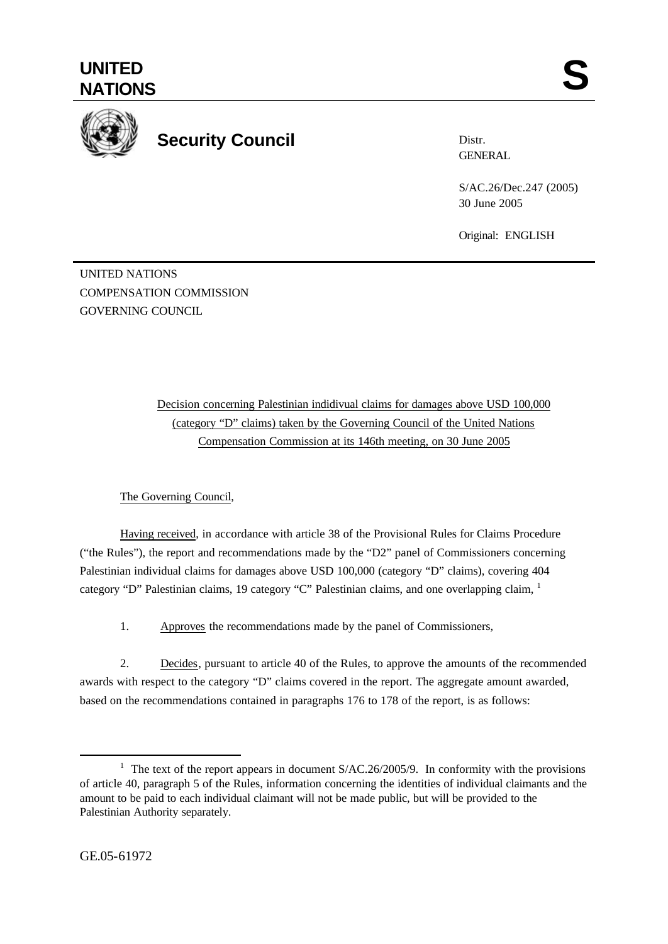

## **Security Council**

Distr. GENERAL

S/AC.26/Dec.247 (2005) 30 June 2005

Original: ENGLISH

UNITED NATIONS COMPENSATION COMMISSION GOVERNING COUNCIL

> Decision concerning Palestinian indidivual claims for damages above USD 100,000 (category "D" claims) taken by the Governing Council of the United Nations Compensation Commission at its 146th meeting, on 30 June 2005

The Governing Council,

Having received, in accordance with article 38 of the Provisional Rules for Claims Procedure ("the Rules"), the report and recommendations made by the "D2" panel of Commissioners concerning Palestinian individual claims for damages above USD 100,000 (category "D" claims), covering 404 category "D" Palestinian claims, 19 category "C" Palestinian claims, and one overlapping claim,  $\frac{1}{1}$ 

1. Approves the recommendations made by the panel of Commissioners,

2. Decides, pursuant to article 40 of the Rules, to approve the amounts of the recommended awards with respect to the category "D" claims covered in the report. The aggregate amount awarded, based on the recommendations contained in paragraphs 176 to 178 of the report, is as follows:

l

<sup>&</sup>lt;sup>1</sup> The text of the report appears in document  $S/AC.26/2005/9$ . In conformity with the provisions of article 40, paragraph 5 of the Rules, information concerning the identities of individual claimants and the amount to be paid to each individual claimant will not be made public, but will be provided to the Palestinian Authority separately.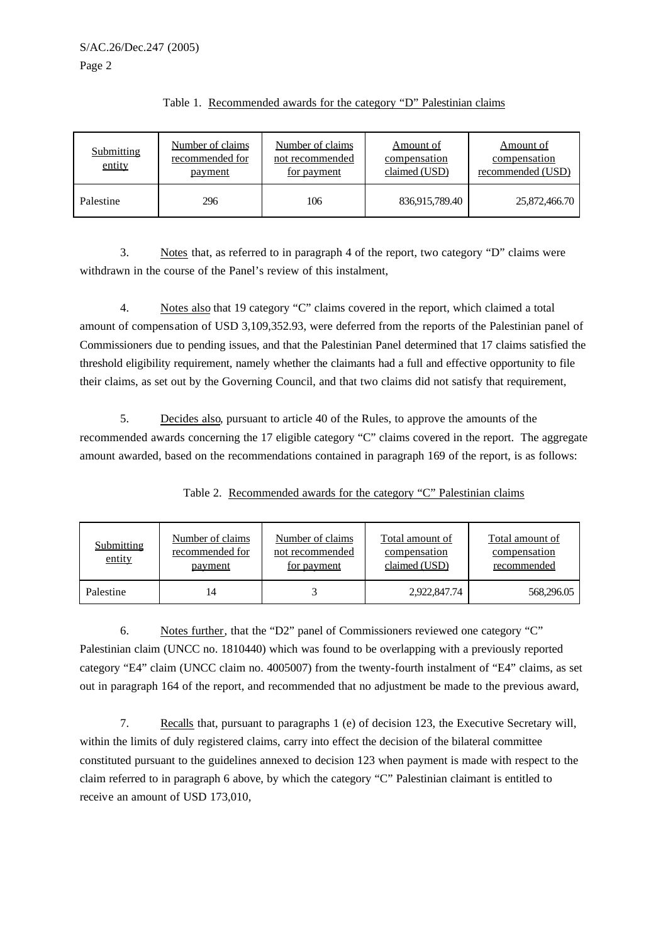| <b>Submitting</b><br>entity | Number of claims<br>recommended for<br>payment | Number of claims<br>not recommended<br>for payment | Amount of<br>compensation<br>claimed (USD) | Amount of<br>compensation<br>recommended (USD) |
|-----------------------------|------------------------------------------------|----------------------------------------------------|--------------------------------------------|------------------------------------------------|
| Palestine                   | 296                                            | 106                                                | 836,915,789.40                             | 25,872,466.70                                  |

## Table 1. Recommended awards for the category "D" Palestinian claims

3. Notes that, as referred to in paragraph 4 of the report, two category "D" claims were withdrawn in the course of the Panel's review of this instalment,

4. Notes also that 19 category "C" claims covered in the report, which claimed a total amount of compensation of USD 3,109,352.93, were deferred from the reports of the Palestinian panel of Commissioners due to pending issues, and that the Palestinian Panel determined that 17 claims satisfied the threshold eligibility requirement, namely whether the claimants had a full and effective opportunity to file their claims, as set out by the Governing Council, and that two claims did not satisfy that requirement,

5. Decides also, pursuant to article 40 of the Rules, to approve the amounts of the recommended awards concerning the 17 eligible category "C" claims covered in the report. The aggregate amount awarded, based on the recommendations contained in paragraph 169 of the report, is as follows:

| <b>Submitting</b><br>entity | Number of claims<br>recommended for<br><u>payment</u> | Number of claims<br>not recommended<br>for payment | <b>Total amount of</b><br>compensation<br>claimed (USD) | <b>Total amount of</b><br>compensation<br>recommended |
|-----------------------------|-------------------------------------------------------|----------------------------------------------------|---------------------------------------------------------|-------------------------------------------------------|
| Palestine                   |                                                       |                                                    | 2,922,847.74                                            | 568,296.05                                            |

Table 2. Recommended awards for the category "C" Palestinian claims

6. Notes further, that the "D2" panel of Commissioners reviewed one category "C" Palestinian claim (UNCC no. 1810440) which was found to be overlapping with a previously reported category "E4" claim (UNCC claim no. 4005007) from the twenty-fourth instalment of "E4" claims, as set out in paragraph 164 of the report, and recommended that no adjustment be made to the previous award,

7. Recalls that, pursuant to paragraphs 1 (e) of decision 123, the Executive Secretary will, within the limits of duly registered claims, carry into effect the decision of the bilateral committee constituted pursuant to the guidelines annexed to decision 123 when payment is made with respect to the claim referred to in paragraph 6 above, by which the category "C" Palestinian claimant is entitled to receive an amount of USD 173,010,